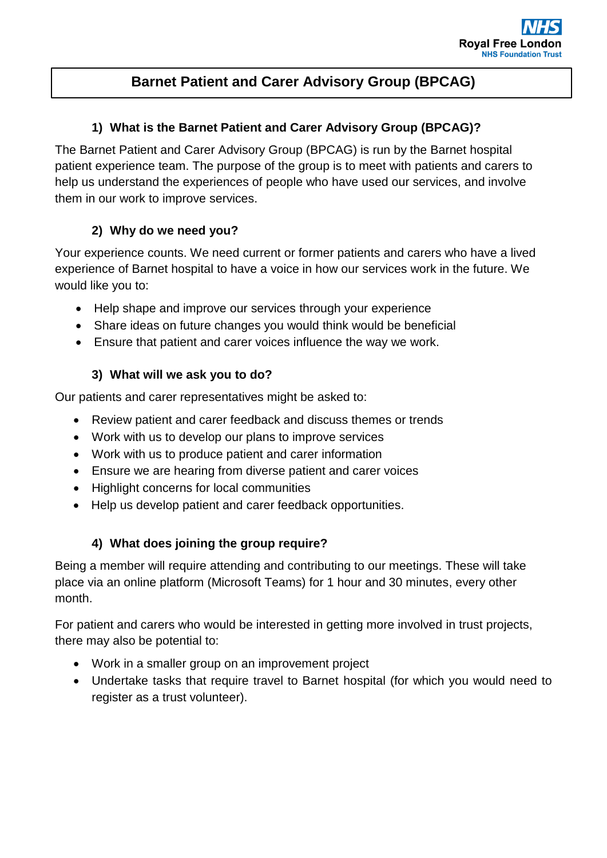# **Barnet Patient and Carer Advisory Group (BPCAG)**

### **1) What is the Barnet Patient and Carer Advisory Group (BPCAG)?**

The Barnet Patient and Carer Advisory Group (BPCAG) is run by the Barnet hospital patient experience team. The purpose of the group is to meet with patients and carers to help us understand the experiences of people who have used our services, and involve them in our work to improve services.

# **2) Why do we need you?**

Your experience counts. We need current or former patients and carers who have a lived experience of Barnet hospital to have a voice in how our services work in the future. We would like you to:

- Help shape and improve our services through your experience
- Share ideas on future changes you would think would be beneficial
- Ensure that patient and carer voices influence the way we work.

# **3) What will we ask you to do?**

Our patients and carer representatives might be asked to:

- Review patient and carer feedback and discuss themes or trends
- Work with us to develop our plans to improve services
- Work with us to produce patient and carer information
- Ensure we are hearing from diverse patient and carer voices
- Highlight concerns for local communities
- Help us develop patient and carer feedback opportunities.

# **4) What does joining the group require?**

Being a member will require attending and contributing to our meetings. These will take place via an online platform (Microsoft Teams) for 1 hour and 30 minutes, every other month.

For patient and carers who would be interested in getting more involved in trust projects, there may also be potential to:

- Work in a smaller group on an improvement project
- Undertake tasks that require travel to Barnet hospital (for which you would need to register as a trust volunteer).